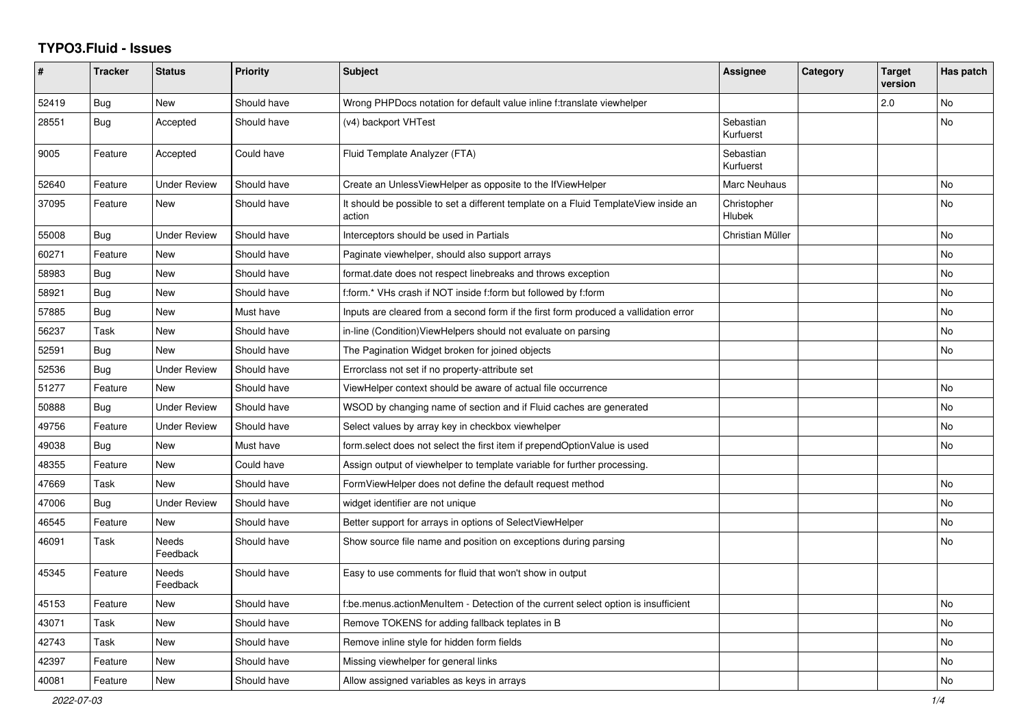## **TYPO3.Fluid - Issues**

| #     | <b>Tracker</b> | <b>Status</b>       | <b>Priority</b> | <b>Subject</b>                                                                                | Assignee                     | Category | <b>Target</b><br>version | Has patch      |
|-------|----------------|---------------------|-----------------|-----------------------------------------------------------------------------------------------|------------------------------|----------|--------------------------|----------------|
| 52419 | Bug            | New                 | Should have     | Wrong PHPDocs notation for default value inline f:translate viewhelper                        |                              |          | 2.0                      | No             |
| 28551 | Bug            | Accepted            | Should have     | (v4) backport VHTest                                                                          | Sebastian<br>Kurfuerst       |          |                          | No             |
| 9005  | Feature        | Accepted            | Could have      | Fluid Template Analyzer (FTA)                                                                 | Sebastian<br>Kurfuerst       |          |                          |                |
| 52640 | Feature        | <b>Under Review</b> | Should have     | Create an UnlessViewHelper as opposite to the IfViewHelper                                    | Marc Neuhaus                 |          |                          | No             |
| 37095 | Feature        | <b>New</b>          | Should have     | It should be possible to set a different template on a Fluid TemplateView inside an<br>action | Christopher<br><b>Hlubek</b> |          |                          | No             |
| 55008 | Bug            | <b>Under Review</b> | Should have     | Interceptors should be used in Partials                                                       | Christian Müller             |          |                          | <b>No</b>      |
| 60271 | Feature        | New                 | Should have     | Paginate viewhelper, should also support arrays                                               |                              |          |                          | No             |
| 58983 | Bug            | New                 | Should have     | format date does not respect linebreaks and throws exception                                  |                              |          |                          | No             |
| 58921 | Bug            | New                 | Should have     | f:form.* VHs crash if NOT inside f:form but followed by f:form                                |                              |          |                          | <b>No</b>      |
| 57885 | <b>Bug</b>     | New                 | Must have       | Inputs are cleared from a second form if the first form produced a vallidation error          |                              |          |                          | No             |
| 56237 | Task           | New                 | Should have     | in-line (Condition) View Helpers should not evaluate on parsing                               |                              |          |                          | <b>No</b>      |
| 52591 | <b>Bug</b>     | New                 | Should have     | The Pagination Widget broken for joined objects                                               |                              |          |                          | No             |
| 52536 | Bug            | <b>Under Review</b> | Should have     | Errorclass not set if no property-attribute set                                               |                              |          |                          |                |
| 51277 | Feature        | <b>New</b>          | Should have     | ViewHelper context should be aware of actual file occurrence                                  |                              |          |                          | <b>No</b>      |
| 50888 | Bug            | Under Review        | Should have     | WSOD by changing name of section and if Fluid caches are generated                            |                              |          |                          | <b>No</b>      |
| 49756 | Feature        | <b>Under Review</b> | Should have     | Select values by array key in checkbox viewhelper                                             |                              |          |                          | <b>No</b>      |
| 49038 | Bug            | <b>New</b>          | Must have       | form.select does not select the first item if prependOptionValue is used                      |                              |          |                          | <b>No</b>      |
| 48355 | Feature        | New                 | Could have      | Assign output of viewhelper to template variable for further processing.                      |                              |          |                          |                |
| 47669 | Task           | New                 | Should have     | FormViewHelper does not define the default request method                                     |                              |          |                          | No             |
| 47006 | Bug            | <b>Under Review</b> | Should have     | widget identifier are not unique                                                              |                              |          |                          | <b>No</b>      |
| 46545 | Feature        | <b>New</b>          | Should have     | Better support for arrays in options of SelectViewHelper                                      |                              |          |                          | <b>No</b>      |
| 46091 | Task           | Needs<br>Feedback   | Should have     | Show source file name and position on exceptions during parsing                               |                              |          |                          | N <sub>o</sub> |
| 45345 | Feature        | Needs<br>Feedback   | Should have     | Easy to use comments for fluid that won't show in output                                      |                              |          |                          |                |
| 45153 | Feature        | New                 | Should have     | f:be.menus.actionMenuItem - Detection of the current select option is insufficient            |                              |          |                          | <b>No</b>      |
| 43071 | Task           | New                 | Should have     | Remove TOKENS for adding fallback teplates in B                                               |                              |          |                          | No             |
| 42743 | Task           | New                 | Should have     | Remove inline style for hidden form fields                                                    |                              |          |                          | No             |
| 42397 | Feature        | New                 | Should have     | Missing viewhelper for general links                                                          |                              |          |                          | No             |
| 40081 | Feature        | <b>New</b>          | Should have     | Allow assigned variables as keys in arrays                                                    |                              |          |                          | <b>No</b>      |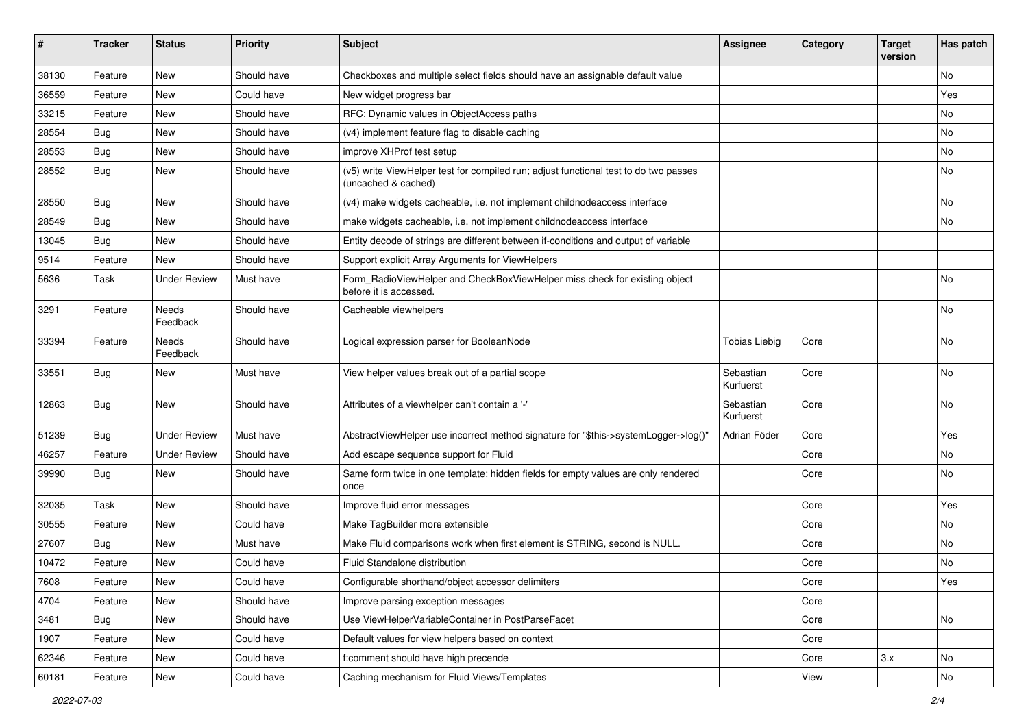| ∦     | <b>Tracker</b> | <b>Status</b>            | <b>Priority</b> | Subject                                                                                                     | <b>Assignee</b>        | Category | <b>Target</b><br>version | Has patch |
|-------|----------------|--------------------------|-----------------|-------------------------------------------------------------------------------------------------------------|------------------------|----------|--------------------------|-----------|
| 38130 | Feature        | New                      | Should have     | Checkboxes and multiple select fields should have an assignable default value                               |                        |          |                          | No        |
| 36559 | Feature        | New                      | Could have      | New widget progress bar                                                                                     |                        |          |                          | Yes       |
| 33215 | Feature        | New                      | Should have     | RFC: Dynamic values in ObjectAccess paths                                                                   |                        |          |                          | No        |
| 28554 | Bug            | New                      | Should have     | (v4) implement feature flag to disable caching                                                              |                        |          |                          | No        |
| 28553 | Bug            | New                      | Should have     | improve XHProf test setup                                                                                   |                        |          |                          | No        |
| 28552 | Bug            | New                      | Should have     | (v5) write ViewHelper test for compiled run; adjust functional test to do two passes<br>(uncached & cached) |                        |          |                          | No        |
| 28550 | <b>Bug</b>     | New                      | Should have     | (v4) make widgets cacheable, i.e. not implement childnodeaccess interface                                   |                        |          |                          | No        |
| 28549 | Bug            | <b>New</b>               | Should have     | make widgets cacheable, i.e. not implement childnodeaccess interface                                        |                        |          |                          | No        |
| 13045 | <b>Bug</b>     | New                      | Should have     | Entity decode of strings are different between if-conditions and output of variable                         |                        |          |                          |           |
| 9514  | Feature        | New                      | Should have     | Support explicit Array Arguments for ViewHelpers                                                            |                        |          |                          |           |
| 5636  | Task           | Under Review             | Must have       | Form_RadioViewHelper and CheckBoxViewHelper miss check for existing object<br>before it is accessed.        |                        |          |                          | No        |
| 3291  | Feature        | <b>Needs</b><br>Feedback | Should have     | Cacheable viewhelpers                                                                                       |                        |          |                          | No        |
| 33394 | Feature        | Needs<br>Feedback        | Should have     | Logical expression parser for BooleanNode                                                                   | Tobias Liebig          | Core     |                          | No        |
| 33551 | Bug            | New                      | Must have       | View helper values break out of a partial scope                                                             | Sebastian<br>Kurfuerst | Core     |                          | No        |
| 12863 | Bug            | New                      | Should have     | Attributes of a viewhelper can't contain a '-'                                                              | Sebastian<br>Kurfuerst | Core     |                          | No        |
| 51239 | Bug            | <b>Under Review</b>      | Must have       | AbstractViewHelper use incorrect method signature for "\$this->systemLogger->log()"                         | Adrian Föder           | Core     |                          | Yes       |
| 46257 | Feature        | <b>Under Review</b>      | Should have     | Add escape sequence support for Fluid                                                                       |                        | Core     |                          | No        |
| 39990 | Bug            | New                      | Should have     | Same form twice in one template: hidden fields for empty values are only rendered<br>once                   |                        | Core     |                          | No        |
| 32035 | Task           | New                      | Should have     | Improve fluid error messages                                                                                |                        | Core     |                          | Yes       |
| 30555 | Feature        | New                      | Could have      | Make TagBuilder more extensible                                                                             |                        | Core     |                          | No        |
| 27607 | Bug            | New                      | Must have       | Make Fluid comparisons work when first element is STRING, second is NULL.                                   |                        | Core     |                          | No        |
| 10472 | Feature        | New                      | Could have      | Fluid Standalone distribution                                                                               |                        | Core     |                          | No        |
| 7608  | Feature        | New                      | Could have      | Configurable shorthand/object accessor delimiters                                                           |                        | Core     |                          | Yes       |
| 4704  | Feature        | New                      | Should have     | Improve parsing exception messages                                                                          |                        | Core     |                          |           |
| 3481  | Bug            | New                      | Should have     | Use ViewHelperVariableContainer in PostParseFacet                                                           |                        | Core     |                          | No        |
| 1907  | Feature        | New                      | Could have      | Default values for view helpers based on context                                                            |                        | Core     |                          |           |
| 62346 | Feature        | New                      | Could have      | f:comment should have high precende                                                                         |                        | Core     | 3.x                      | No        |
| 60181 | Feature        | New                      | Could have      | Caching mechanism for Fluid Views/Templates                                                                 |                        | View     |                          | No        |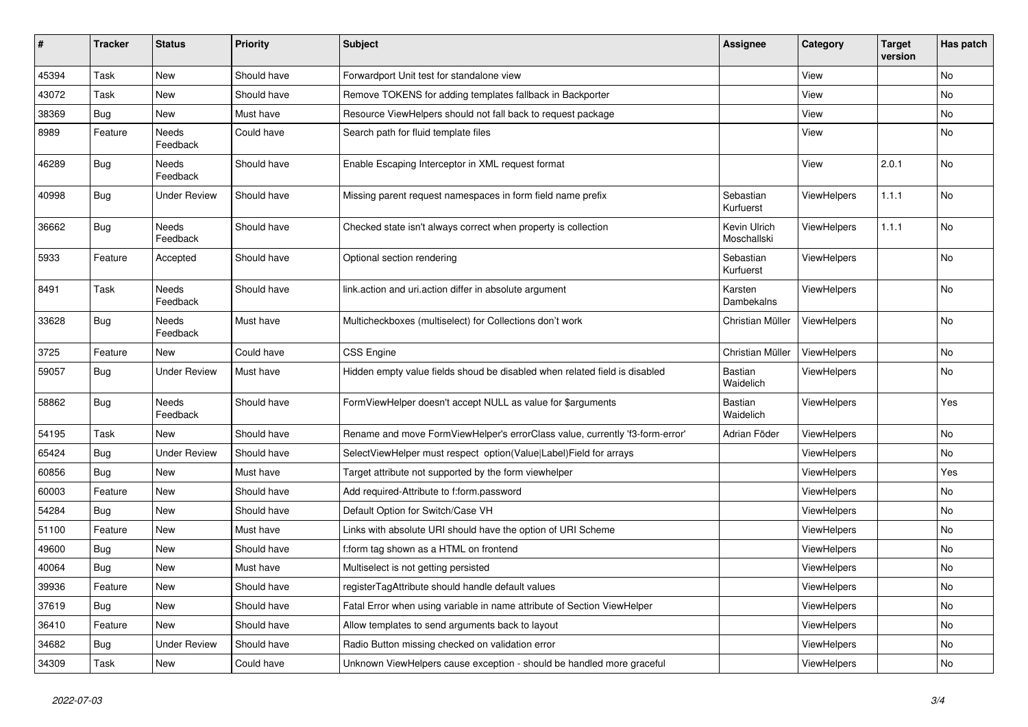| #     | <b>Tracker</b> | <b>Status</b>       | <b>Priority</b> | <b>Subject</b>                                                               | <b>Assignee</b>             | Category           | <b>Target</b><br>version | Has patch |
|-------|----------------|---------------------|-----------------|------------------------------------------------------------------------------|-----------------------------|--------------------|--------------------------|-----------|
| 45394 | Task           | New                 | Should have     | Forwardport Unit test for standalone view                                    |                             | View               |                          | No        |
| 43072 | Task           | New                 | Should have     | Remove TOKENS for adding templates fallback in Backporter                    |                             | View               |                          | No        |
| 38369 | <b>Bug</b>     | New                 | Must have       | Resource ViewHelpers should not fall back to request package                 |                             | View               |                          | No        |
| 8989  | Feature        | Needs<br>Feedback   | Could have      | Search path for fluid template files                                         |                             | View               |                          | No        |
| 46289 | Bug            | Needs<br>Feedback   | Should have     | Enable Escaping Interceptor in XML request format                            |                             | View               | 2.0.1                    | No        |
| 40998 | <b>Bug</b>     | Under Review        | Should have     | Missing parent request namespaces in form field name prefix                  | Sebastian<br>Kurfuerst      | <b>ViewHelpers</b> | 1.1.1                    | <b>No</b> |
| 36662 | <b>Bug</b>     | Needs<br>Feedback   | Should have     | Checked state isn't always correct when property is collection               | Kevin Ulrich<br>Moschallski | <b>ViewHelpers</b> | 1.1.1                    | No        |
| 5933  | Feature        | Accepted            | Should have     | Optional section rendering                                                   | Sebastian<br>Kurfuerst      | <b>ViewHelpers</b> |                          | No        |
| 8491  | Task           | Needs<br>Feedback   | Should have     | link.action and uri.action differ in absolute argument                       | Karsten<br>Dambekalns       | <b>ViewHelpers</b> |                          | <b>No</b> |
| 33628 | <b>Bug</b>     | Needs<br>Feedback   | Must have       | Multicheckboxes (multiselect) for Collections don't work                     | Christian Müller            | ViewHelpers        |                          | No        |
| 3725  | Feature        | New                 | Could have      | <b>CSS Engine</b>                                                            | Christian Müller            | <b>ViewHelpers</b> |                          | No        |
| 59057 | <b>Bug</b>     | <b>Under Review</b> | Must have       | Hidden empty value fields shoud be disabled when related field is disabled   | Bastian<br>Waidelich        | <b>ViewHelpers</b> |                          | No        |
| 58862 | Bug            | Needs<br>Feedback   | Should have     | FormViewHelper doesn't accept NULL as value for \$arguments                  | Bastian<br>Waidelich        | ViewHelpers        |                          | Yes       |
| 54195 | Task           | <b>New</b>          | Should have     | Rename and move FormViewHelper's errorClass value, currently 'f3-form-error' | Adrian Föder                | ViewHelpers        |                          | No        |
| 65424 | Bug            | <b>Under Review</b> | Should have     | SelectViewHelper must respect option(Value Label)Field for arrays            |                             | <b>ViewHelpers</b> |                          | No        |
| 60856 | <b>Bug</b>     | New                 | Must have       | Target attribute not supported by the form viewhelper                        |                             | <b>ViewHelpers</b> |                          | Yes       |
| 60003 | Feature        | <b>New</b>          | Should have     | Add required-Attribute to f:form.password                                    |                             | ViewHelpers        |                          | <b>No</b> |
| 54284 | Bug            | <b>New</b>          | Should have     | Default Option for Switch/Case VH                                            |                             | <b>ViewHelpers</b> |                          | <b>No</b> |
| 51100 | Feature        | New                 | Must have       | Links with absolute URI should have the option of URI Scheme                 |                             | <b>ViewHelpers</b> |                          | <b>No</b> |
| 49600 | <b>Bug</b>     | New                 | Should have     | f:form tag shown as a HTML on frontend                                       |                             | <b>ViewHelpers</b> |                          | <b>No</b> |
| 40064 | Bug            | New                 | Must have       | Multiselect is not getting persisted                                         |                             | <b>ViewHelpers</b> |                          | <b>No</b> |
| 39936 | Feature        | New                 | Should have     | registerTagAttribute should handle default values                            |                             | <b>ViewHelpers</b> |                          | No        |
| 37619 | Bug            | New                 | Should have     | Fatal Error when using variable in name attribute of Section ViewHelper      |                             | <b>ViewHelpers</b> |                          | No        |
| 36410 | Feature        | New                 | Should have     | Allow templates to send arguments back to layout                             |                             | ViewHelpers        |                          | No        |
| 34682 | <b>Bug</b>     | <b>Under Review</b> | Should have     | Radio Button missing checked on validation error                             |                             | ViewHelpers        |                          | No        |
| 34309 | Task           | New                 | Could have      | Unknown ViewHelpers cause exception - should be handled more graceful        |                             | ViewHelpers        |                          | No        |